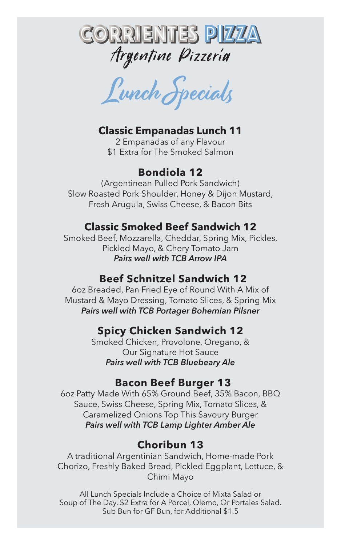

Lunch Specials

#### **Classic Empanadas Lunch 11**

2 Empanadas of any Flavour \$1 Extra for The Smoked Salmon

#### **Bondiola 12**

(Argentinean Pulled Pork Sandwich) Slow Roasted Pork Shoulder, Honey & Dijon Mustard, Fresh Arugula, Swiss Cheese, & Bacon Bits

#### **Classic Smoked Beef Sandwich 12**

Smoked Beef, Mozzarella, Cheddar, Spring Mix, Pickles, Pickled Mayo, & Chery Tomato Jam *Pairs well with TCB Arrow IPA*

#### **Beef Schnitzel Sandwich 12**

6oz Breaded, Pan Fried Eye of Round With A Mix of Mustard & Mayo Dressing, Tomato Slices, & Spring Mix *Pairs well with TCB Portager Bohemian Pilsner*

#### **Spicy Chicken Sandwich 12**

Smoked Chicken, Provolone, Oregano, & Our Signature Hot Sauce *Pairs well with TCB Bluebeary Ale*

#### **Bacon Beef Burger 13**

6oz Patty Made With 65% Ground Beef, 35% Bacon, BBQ Sauce, Swiss Cheese, Spring Mix, Tomato Slices, & Caramelized Onions Top This Savoury Burger *Pairs well with TCB Lamp Lighter Amber Ale*

#### **Choribun 13**

A traditional Argentinian Sandwich, Home-made Pork Chorizo, Freshly Baked Bread, Pickled Eggplant, Lettuce, & Chimi Mayo

All Lunch Specials Include a Choice of Mixta Salad or Soup of The Day. \$2 Extra for A Porcel, Olemo, Or Portales Salad. Sub Bun for GF Bun, for Additional \$1.5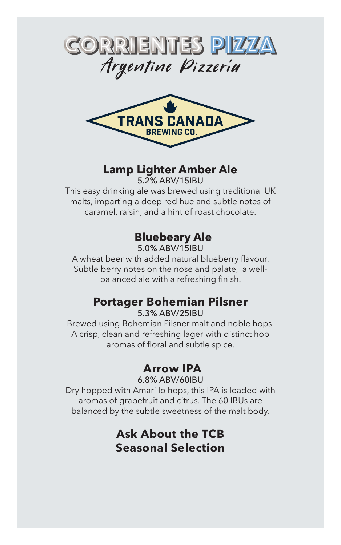



# **Lamp Lighter Amber Ale**

5.2% ABV/15IBU

This easy drinking ale was brewed using traditional UK malts, imparting a deep red hue and subtle notes of caramel, raisin, and a hint of roast chocolate.

# **Bluebeary Ale**

5.0% ABV/15IBU

A wheat beer with added natural blueberry flavour. Subtle berry notes on the nose and palate, a wellbalanced ale with a refreshing finish.

# **Portager Bohemian Pilsner**

5.3% ABV/25IBU

Brewed using Bohemian Pilsner malt and noble hops. A crisp, clean and refreshing lager with distinct hop aromas of floral and subtle spice.

# **Arrow IPA**

6.8% ABV/60IBU

Dry hopped with Amarillo hops, this IPA is loaded with aromas of grapefruit and citrus. The 60 IBUs are balanced by the subtle sweetness of the malt body.

# **Ask About the TCB Seasonal Selection**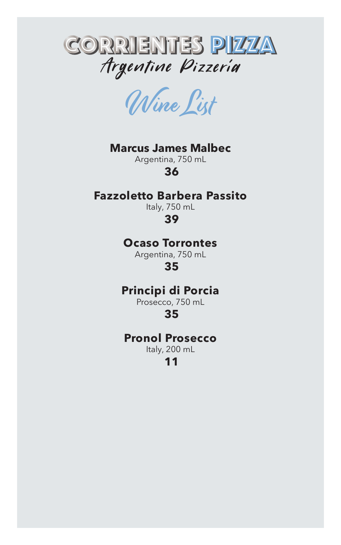

Wine List

#### **Marcus James Malbec**

Argentina, 750 mL  **36**

#### **Fazzoletto Barbera Passito**

Italy, 750 mL  **39**

#### **Ocaso Torrontes**

Argentina, 750 mL  **35**

## **Principi di Porcia**

Prosecco, 750 mL

 **35**

#### **Pronol Prosecco**

Italy, 200 mL  **11**